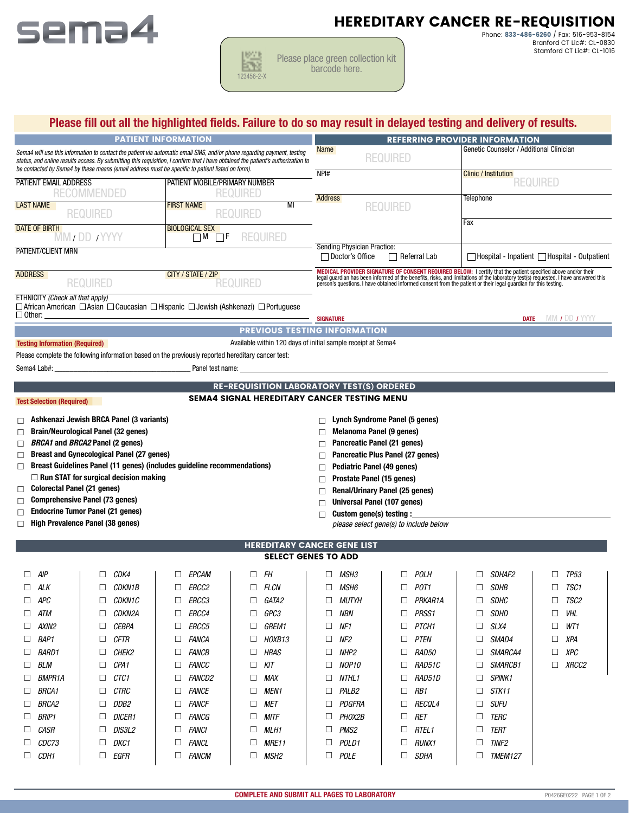

# HEREDITARY CANCER RE-REQUISITION

Please place green collection kit **ETY** barcode here. 123456-2-X

1667 I

Phone: 833-486-6260 / Fax: 516-953-8154 Branford CT Lic#: CL-0830 Stamford CT Lic#: CL-1016

| <b>PATIENT INFORMATION</b><br>Sema4 will use this information to contact the patient via automatic email SMS, and/or phone regarding payment, testing<br>status, and online results access. By submitting this requisition, I confirm that I have obtained the patient's authorization to<br>be contacted by Sema4 by these means (email address must be specific to patient listed on form). |                                                                                                                                                                                                                                |                                                                                                                                                                                                                                                                                                                                                 | Please fill out all the highlighted fields. Failure to do so may result in delayed testing and delivery of results.<br><b>REFERRING PROVIDER INFORMATION</b> |                                                          |  |  |  |
|-----------------------------------------------------------------------------------------------------------------------------------------------------------------------------------------------------------------------------------------------------------------------------------------------------------------------------------------------------------------------------------------------|--------------------------------------------------------------------------------------------------------------------------------------------------------------------------------------------------------------------------------|-------------------------------------------------------------------------------------------------------------------------------------------------------------------------------------------------------------------------------------------------------------------------------------------------------------------------------------------------|--------------------------------------------------------------------------------------------------------------------------------------------------------------|----------------------------------------------------------|--|--|--|
|                                                                                                                                                                                                                                                                                                                                                                                               |                                                                                                                                                                                                                                |                                                                                                                                                                                                                                                                                                                                                 | <b>REQUIRED</b>                                                                                                                                              | Genetic Counselor / Additional Clinician                 |  |  |  |
| PATIENT EMAIL ADDRESS<br><b>RECOMMENDED</b>                                                                                                                                                                                                                                                                                                                                                   | PATIENT MOBILE/PRIMARY NUMBER<br><b>REQURED</b>                                                                                                                                                                                | NPI#                                                                                                                                                                                                                                                                                                                                            |                                                                                                                                                              | <b>Clinic / Institution</b><br><b>REQUIRED</b>           |  |  |  |
| <b>LAST NAME</b><br><b>REQUIRED</b>                                                                                                                                                                                                                                                                                                                                                           | <b>FIRST NAME</b><br>MI<br><b>REQUIRED</b>                                                                                                                                                                                     | <b>Address</b>                                                                                                                                                                                                                                                                                                                                  | <b>REQUIRED</b>                                                                                                                                              | <b>Telephone</b><br>Fax                                  |  |  |  |
| <b>DATE OF BIRTH</b><br><b>MM</b> / DD / YYYY                                                                                                                                                                                                                                                                                                                                                 | <b>BIOLOGICAL SEX</b><br>$\Box$ F<br>REQUIRED<br>$\Box$ M                                                                                                                                                                      |                                                                                                                                                                                                                                                                                                                                                 | Sending Physician Practice:                                                                                                                                  |                                                          |  |  |  |
| <b>PATIENT/CLIENT MRN</b>                                                                                                                                                                                                                                                                                                                                                                     |                                                                                                                                                                                                                                |                                                                                                                                                                                                                                                                                                                                                 | □ Doctor's Office<br><b>Referral Lab</b>                                                                                                                     | $\Box$ Hospital - Inpatient $\Box$ Hospital - Outpatient |  |  |  |
| <b>ADDRESS</b><br><b>REQUIRED</b>                                                                                                                                                                                                                                                                                                                                                             | CITY / STATE / ZIP<br><b>REQUIRED</b>                                                                                                                                                                                          | MEDICAL PROVIDER SIGNATURE OF CONSENT REQUIRED BELOW: I certify that the patient specified above and/or their<br>legal guardian has been informed of the benefits, risks, and limitations of the laboratory test(s) requested. I have answered this person's questions. I have obtained informed consent from the patient or their legal guardi |                                                                                                                                                              |                                                          |  |  |  |
| ETHNICITY (Check all that apply)<br>$\Box$ Other:                                                                                                                                                                                                                                                                                                                                             | $\Box$ African American $\Box$ Asian $\Box$ Caucasian $\Box$ Hispanic $\Box$ Jewish (Ashkenazi) $\Box$ Portuguese                                                                                                              | <b>SIGNATURE</b>                                                                                                                                                                                                                                                                                                                                |                                                                                                                                                              | MM 1 DD 1 YYYY<br><b>DATE</b>                            |  |  |  |
|                                                                                                                                                                                                                                                                                                                                                                                               | <b>PREVIOUS TESTING INFORMATION</b>                                                                                                                                                                                            |                                                                                                                                                                                                                                                                                                                                                 |                                                                                                                                                              |                                                          |  |  |  |
| <b>Testing Information (Required)</b>                                                                                                                                                                                                                                                                                                                                                         | Available within 120 days of initial sample receipt at Sema4                                                                                                                                                                   |                                                                                                                                                                                                                                                                                                                                                 |                                                                                                                                                              |                                                          |  |  |  |
|                                                                                                                                                                                                                                                                                                                                                                                               | Please complete the following information based on the previously reported hereditary cancer test:                                                                                                                             |                                                                                                                                                                                                                                                                                                                                                 |                                                                                                                                                              |                                                          |  |  |  |
|                                                                                                                                                                                                                                                                                                                                                                                               | Sema4 Lab#: example and the contract of the Panel test name: the contract of the contract of the contract of the contract of the contract of the contract of the contract of the contract of the contract of the contract of t |                                                                                                                                                                                                                                                                                                                                                 |                                                                                                                                                              |                                                          |  |  |  |
|                                                                                                                                                                                                                                                                                                                                                                                               | <b>RE-REQUISITION LABORATORY TEST(S) ORDERED</b>                                                                                                                                                                               |                                                                                                                                                                                                                                                                                                                                                 |                                                                                                                                                              |                                                          |  |  |  |
| <b>Test Selection (Required)</b>                                                                                                                                                                                                                                                                                                                                                              | <b>SEMA4 SIGNAL HEREDITARY CANCER TESTING MENU</b>                                                                                                                                                                             |                                                                                                                                                                                                                                                                                                                                                 |                                                                                                                                                              |                                                          |  |  |  |
| Ashkenazi Jewish BRCA Panel (3 variants)<br>П                                                                                                                                                                                                                                                                                                                                                 |                                                                                                                                                                                                                                |                                                                                                                                                                                                                                                                                                                                                 | Lynch Syndrome Panel (5 genes)                                                                                                                               |                                                          |  |  |  |
| <b>Brain/Neurological Panel (32 genes)</b>                                                                                                                                                                                                                                                                                                                                                    |                                                                                                                                                                                                                                |                                                                                                                                                                                                                                                                                                                                                 | <b>Melanoma Panel (9 genes)</b>                                                                                                                              |                                                          |  |  |  |
| <b>BRCA1</b> and <b>BRCA2</b> Panel (2 genes)                                                                                                                                                                                                                                                                                                                                                 |                                                                                                                                                                                                                                |                                                                                                                                                                                                                                                                                                                                                 | Pancreatic Panel (21 genes)                                                                                                                                  |                                                          |  |  |  |

- □ Breast and Gynecological Panel (27 genes)
- □ Breast Guidelines Panel (11 genes) (includes guideline recommendations)  $\Box$  Run STAT for surgical decision making
- □ Colorectal Panel (21 genes)

- $\Box$  Comprehensive Panel (73 genes)
- □ Endocrine Tumor Panel (21 genes)
- High Prevalence Panel (38 genes)
- $\Box$  Pancreatic Panel (21 genes)
- □ Pancreatic Plus Panel (27 genes)
- $\Box$  Pediatric Panel (49 genes)
- Prostate Panel (15 genes)
- $\Box$  Renal/Urinary Panel (25 genes)
- Universal Panel (107 genes)
- $\Box$  Custom gene(s) testing :

*please select gene(s) to include below*

| <b>SELECT GENES TO ADD</b> |                             |                               |                      |                         |                        |                         |                       |  |
|----------------------------|-----------------------------|-------------------------------|----------------------|-------------------------|------------------------|-------------------------|-----------------------|--|
| $\Box$<br>AIP              | CDK4<br>$\Box$              | <b>EPCAM</b><br>⊔             | <b>FH</b><br>□       | <b>MSH3</b><br>□        | $\Box$<br><b>POLH</b>  | SDHAF2<br>$\Box$        | <b>TP53</b><br>□      |  |
| ALK<br>П.                  | CDKN1B                      | <i>ERCC2</i><br>ΙI            | <b>FLCN</b><br>П.    | <b>MSH6</b><br>П        | POT <sub>1</sub><br>П  | <b>SDHB</b><br>$\Box$   | TSC1<br>П             |  |
| $\Box$ APC                 | CDKN1C                      | ERCC3                         | GATA2<br>$\Box$      | <i>MUTYH</i><br>ப       | PRKAR1A<br>П           | <b>SDHC</b><br>⊔        | TSC <sub>2</sub><br>Ш |  |
| ATM<br>$\Box$              | CDKN2A                      | <i>ERCC4</i><br>ப             | GPC3<br>$\Box$       | □<br>NBN                | PRSS <sub>1</sub><br>□ | SDHD<br>$\Box$          | VHL<br>$\Box$         |  |
| AXIN2<br>П.                | <b>CEBPA</b>                | <i>ERCC5</i><br>$\mathsf{L}$  | <b>GREM1</b><br>П.   | П<br>NF1                | PTCH <sub>1</sub><br>П | SLX4<br>$\Box$          | WT1<br>П              |  |
| $\Box$<br>BAP1             | <b>CFTR</b>                 | <b>FANCA</b><br>$\Box$        | HOXB13<br>П          | П<br>NF2                | П<br><b>PTEN</b>       | SMAD4<br>$\Box$         | XPA<br>$\Box$         |  |
| <i>BARD1</i><br>П.         | CHEK2                       | <i>FANCB</i><br>$\mathsf{L}$  | <b>HRAS</b><br>П.    | П<br>NHP2               | RAD50<br>П             | SMARCA4<br>П            | XPC<br>$\Box$         |  |
| $\Box$<br>BLM              | CPA <sub>1</sub><br>$\perp$ | FANCC<br>ப                    | KIT<br>$\Box$        | □<br>NOP10              | RAD51C<br>□            | SMARCB1<br>$\perp$      | XRCC2<br>ப            |  |
| <b>BMPR1A</b><br>$\Box$    | CTC1                        | <i>FANCD2</i><br>$\mathsf{L}$ | П<br><b>MAX</b>      | NTHL1<br>П              | <b>RAD51D</b><br>П     | <b>SPINK1</b><br>$\Box$ |                       |  |
| <b>BRCA1</b><br>П.         | <b>CTRC</b>                 | <i>FANCE</i>                  | <b>MEN1</b><br>П     | PALB2<br>П              | RB1<br>П               | STK11<br>$\Box$         |                       |  |
| <i>BRCA2</i><br>$\Box$     | DDB2                        | FANCF<br>⊔                    | <b>MET</b><br>$\Box$ | □<br><i>PDGFRA</i>      | П<br><i>RECOL4</i>     | $\Box$<br>SUFU          |                       |  |
| <b>BRIP1</b><br>П.         | <b>DICER1</b>               | <i>FANCG</i>                  | <b>MITF</b><br>П.    | <i>PHOX2B</i><br>П      | <b>RET</b><br>П        | TERC<br>П               |                       |  |
| CASR<br>$\Box$             | DIS3L2                      | <i>FANCI</i><br>$\Box$        | <b>MLH1</b><br>П.    | П<br>PMS <sub>2</sub>   | RTEL <sub>1</sub><br>П | <b>TERT</b><br>$\perp$  |                       |  |
| <i>CDC73</i><br>$\Box$     | DKC1                        | <i><b>FANCL</b></i><br>$\Box$ | <b>MRE11</b><br>П    | <b>POLD1</b><br>$\perp$ | <b>RUNX1</b><br>П      | <b>TINF2</b><br>$\perp$ |                       |  |
| CDH1<br>П.                 | EGFR                        | <i>FANCM</i><br>$\mathsf{L}$  | <b>MSH2</b><br>п     | <b>POLE</b><br>П        | <b>SDHA</b><br>П       | <b>TMEM127</b>          |                       |  |

HEREDITARY CANCER GENE LIST